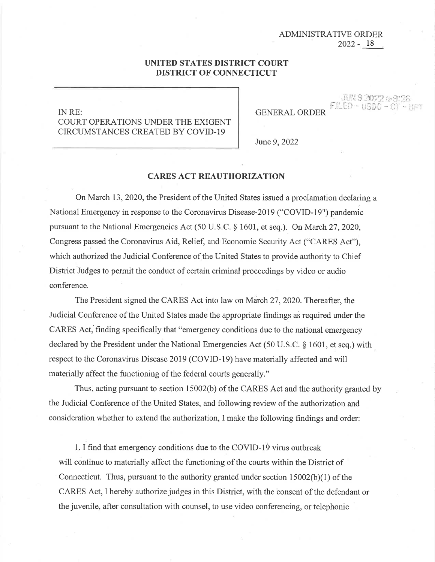## 18 2022- ADMINISTRATIVE ORDER

JUN 9 2022 AM

FILED - US

## **UNITED STATES DISTRICT COURT DISTRICT OF CONNECTICUT**

## INRE: COURT OPERATIONS UNDER THE EXIGENT CIRCUMSTANCES CREATED BY COVID-19

**GENERAL ORDER** 

June 9, 2022

## **CARES ACT REAUTHORIZATION**

On March 13, 2020, the President of the United States issued a proclamation declaring a National Emergency in response to the Coronavirus Disease-2019 ("COVID-19") pandemic pursuant to the National Emergencies Act (50 U.S.C. § 1601, et seq.). On March 27, 2020, Congress passed the Coronavirus Aid, Relief, and Economic Security Act ("CARES Act"), which authorized the Judicial Conference of the United States to provide authority to Chief District Judges to permit the conduct of certain criminal proceedings by video or audio conference.

The President signed the CARES Act into law on March 27, 2020. Thereafter, the Judicial Conference of the United States made the appropriate findings as required under the CARES Act, finding specifically that "emergency conditions due to the national emergency declared by the President under the National Emergencies Act (50 U.S.C. § 1601, et seq.) with respect to the Coronavirus Disease 2019 (COVID-19) have materially affected and will materially affect the functioning of the federal courts generally."

Thus, acting pursuant to section 15002(b) of the CARES Act and the authority granted by the Judicial Conference of the United States, and following review of the authorization and consideration whether to extend the authorization, I make the following findings and order:

1. I find that emergency conditions due to the COVID-19 virus outbreak will continue to materially affect the functioning of the courts within the District of Connecticut. Thus, pursuant to the authority granted under section 15002(b)(1) of the CARES Act, I hereby authorize judges in this District, with the consent of the defendant or the juvenile, after consultation with counsel, to use video conferencing, or telephonic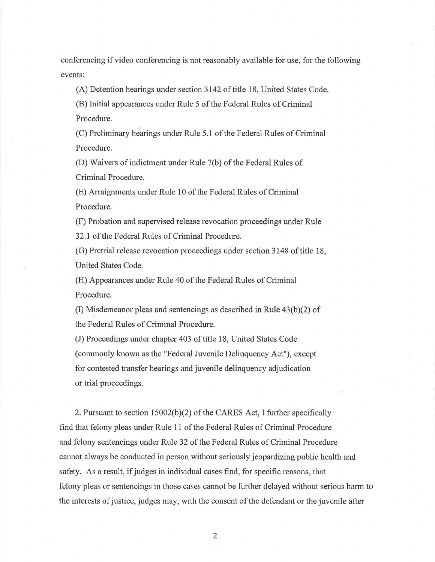conferencing if video conferencing is not reasonably available for use, for the following events:

(A) Detention hearings under section 3142 of title 18, United States Code.

(B) Initial appearances under Rule 5 of the Federal Rules of Criminal Procedure.

(C) Preliminary hearings under Rule 5.1 of the Federal Rules of Criminal Procedure.

(D) Waivers of indictment under Rule 7(b) of the Federal Rules of Criminal Procedure.

(E) Arraignments under Rule 10 of the Federal Rules of Criminal Procedure.

(F) Probation and supervised release revocation proceedings under Rule 32.1 of the Federal Rules of Criminal Procedure.

(G) Pretrial release revocation proceedings under section 3148 of title 18, United States Code.

(H) Appearances under Rule 40 of the Federal Rules of Criminal Procedure.

(I) Misdemeanor pleas and sentencings as described in Rule  $43(b)(2)$  of the Federal Rules of Criminal Procedure.

(J) Proceedings under chapter 403 of title 18, United States Code (commonly known as the "Federal Juvenile Delinquency Act"), except for contested transfer hearings and juvenile delinquency adjudication or trial proceedings.

2. Pursuant to section 15002(b)(2) of the CARES Act, I further specifically find that felony pleas under Rule 11 of the Federal Rules of Criminal Procedure and felony sentencings under Rule 32 of the Federal Rules of Criminal Procedure cannot always be conducted in person without seriously jeopardizing public health and safety. As a result, if judges in individual cases find, for specific reasons, that felony pleas or sentencings in those cases cannot be further delayed without serious harm to the interests of justice, judges may, with the consent of the defendant or the juvenile after

2